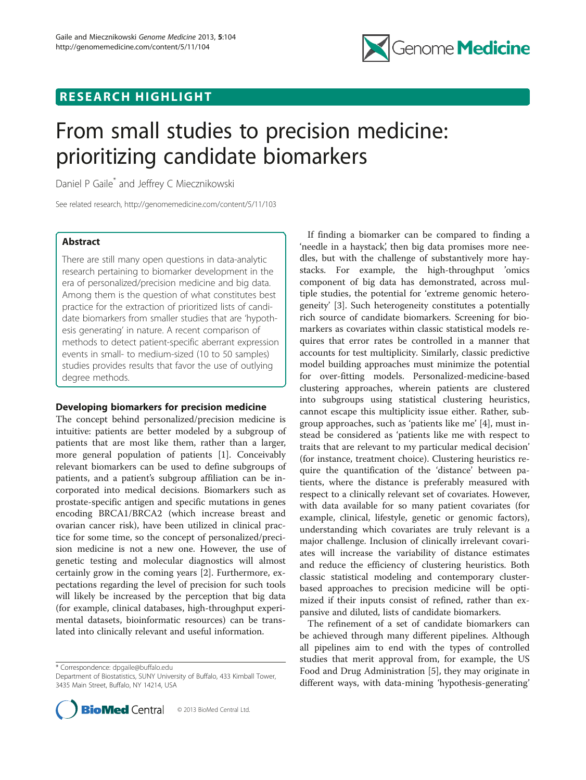# RESEARCH HIGHLIGHT



# From small studies to precision medicine: prioritizing candidate biomarkers

Daniel P Gaile\* and Jeffrey C Miecznikowski

See related research, http://genomemedicine.com/content/5/11/103

# Abstract

There are still many open questions in data-analytic research pertaining to biomarker development in the era of personalized/precision medicine and big data. Among them is the question of what constitutes best practice for the extraction of prioritized lists of candidate biomarkers from smaller studies that are 'hypothesis generating' in nature. A recent comparison of methods to detect patient-specific aberrant expression events in small- to medium-sized (10 to 50 samples) studies provides results that favor the use of outlying degree methods.

# Developing biomarkers for precision medicine

The concept behind personalized/precision medicine is intuitive: patients are better modeled by a subgroup of patients that are most like them, rather than a larger, more general population of patients [[1\]](#page-2-0). Conceivably relevant biomarkers can be used to define subgroups of patients, and a patient's subgroup affiliation can be incorporated into medical decisions. Biomarkers such as prostate-specific antigen and specific mutations in genes encoding BRCA1/BRCA2 (which increase breast and ovarian cancer risk), have been utilized in clinical practice for some time, so the concept of personalized/precision medicine is not a new one. However, the use of genetic testing and molecular diagnostics will almost certainly grow in the coming years [[2\]](#page-2-0). Furthermore, expectations regarding the level of precision for such tools will likely be increased by the perception that big data (for example, clinical databases, high-throughput experimental datasets, bioinformatic resources) can be translated into clinically relevant and useful information.

\* Correspondence: [dpgaile@buffalo.edu](mailto:dpgaile@buffalo.edu)

Department of Biostatistics, SUNY University of Buffalo, 433 Kimball Tower, 3435 Main Street, Buffalo, NY 14214, USA



If finding a biomarker can be compared to finding a 'needle in a haystack', then big data promises more needles, but with the challenge of substantively more haystacks. For example, the high-throughput 'omics component of big data has demonstrated, across multiple studies, the potential for 'extreme genomic heterogeneity' [[3\]](#page-2-0). Such heterogeneity constitutes a potentially rich source of candidate biomarkers. Screening for biomarkers as covariates within classic statistical models requires that error rates be controlled in a manner that accounts for test multiplicity. Similarly, classic predictive model building approaches must minimize the potential for over-fitting models. Personalized-medicine-based clustering approaches, wherein patients are clustered into subgroups using statistical clustering heuristics, cannot escape this multiplicity issue either. Rather, subgroup approaches, such as 'patients like me' [[4](#page-2-0)], must instead be considered as 'patients like me with respect to traits that are relevant to my particular medical decision' (for instance, treatment choice). Clustering heuristics require the quantification of the 'distance' between patients, where the distance is preferably measured with respect to a clinically relevant set of covariates. However, with data available for so many patient covariates (for example, clinical, lifestyle, genetic or genomic factors), understanding which covariates are truly relevant is a major challenge. Inclusion of clinically irrelevant covariates will increase the variability of distance estimates and reduce the efficiency of clustering heuristics. Both classic statistical modeling and contemporary clusterbased approaches to precision medicine will be optimized if their inputs consist of refined, rather than expansive and diluted, lists of candidate biomarkers.

The refinement of a set of candidate biomarkers can be achieved through many different pipelines. Although all pipelines aim to end with the types of controlled studies that merit approval from, for example, the US Food and Drug Administration [\[5](#page-2-0)], they may originate in different ways, with data-mining 'hypothesis-generating'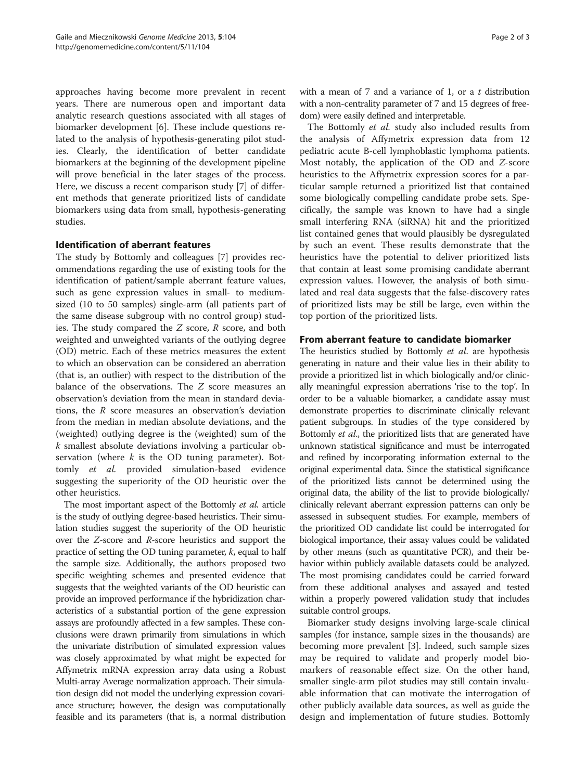approaches having become more prevalent in recent years. There are numerous open and important data analytic research questions associated with all stages of biomarker development [[6\]](#page-2-0). These include questions related to the analysis of hypothesis-generating pilot studies. Clearly, the identification of better candidate biomarkers at the beginning of the development pipeline will prove beneficial in the later stages of the process. Here, we discuss a recent comparison study [\[7](#page-2-0)] of different methods that generate prioritized lists of candidate biomarkers using data from small, hypothesis-generating studies.

# Identification of aberrant features

The study by Bottomly and colleagues [\[7](#page-2-0)] provides recommendations regarding the use of existing tools for the identification of patient/sample aberrant feature values, such as gene expression values in small- to mediumsized (10 to 50 samples) single-arm (all patients part of the same disease subgroup with no control group) studies. The study compared the  $Z$  score,  $R$  score, and both weighted and unweighted variants of the outlying degree (OD) metric. Each of these metrics measures the extent to which an observation can be considered an aberration (that is, an outlier) with respect to the distribution of the balance of the observations. The Z score measures an observation's deviation from the mean in standard deviations, the  $R$  score measures an observation's deviation from the median in median absolute deviations, and the (weighted) outlying degree is the (weighted) sum of the k smallest absolute deviations involving a particular observation (where  $k$  is the OD tuning parameter). Bottomly et al. provided simulation-based evidence suggesting the superiority of the OD heuristic over the other heuristics.

The most important aspect of the Bottomly et al. article is the study of outlying degree-based heuristics. Their simulation studies suggest the superiority of the OD heuristic over the Z-score and R-score heuristics and support the practice of setting the OD tuning parameter,  $k$ , equal to half the sample size. Additionally, the authors proposed two specific weighting schemes and presented evidence that suggests that the weighted variants of the OD heuristic can provide an improved performance if the hybridization characteristics of a substantial portion of the gene expression assays are profoundly affected in a few samples. These conclusions were drawn primarily from simulations in which the univariate distribution of simulated expression values was closely approximated by what might be expected for Affymetrix mRNA expression array data using a Robust Multi-array Average normalization approach. Their simulation design did not model the underlying expression covariance structure; however, the design was computationally feasible and its parameters (that is, a normal distribution

with a mean of  $7$  and a variance of 1, or a  $t$  distribution with a non-centrality parameter of 7 and 15 degrees of freedom) were easily defined and interpretable.

The Bottomly et al. study also included results from the analysis of Affymetrix expression data from 12 pediatric acute B-cell lymphoblastic lymphoma patients. Most notably, the application of the OD and Z-score heuristics to the Affymetrix expression scores for a particular sample returned a prioritized list that contained some biologically compelling candidate probe sets. Specifically, the sample was known to have had a single small interfering RNA (siRNA) hit and the prioritized list contained genes that would plausibly be dysregulated by such an event. These results demonstrate that the heuristics have the potential to deliver prioritized lists that contain at least some promising candidate aberrant expression values. However, the analysis of both simulated and real data suggests that the false-discovery rates of prioritized lists may be still be large, even within the top portion of the prioritized lists.

# From aberrant feature to candidate biomarker

The heuristics studied by Bottomly et al. are hypothesis generating in nature and their value lies in their ability to provide a prioritized list in which biologically and/or clinically meaningful expression aberrations 'rise to the top'. In order to be a valuable biomarker, a candidate assay must demonstrate properties to discriminate clinically relevant patient subgroups. In studies of the type considered by Bottomly *et al.*, the prioritized lists that are generated have unknown statistical significance and must be interrogated and refined by incorporating information external to the original experimental data. Since the statistical significance of the prioritized lists cannot be determined using the original data, the ability of the list to provide biologically/ clinically relevant aberrant expression patterns can only be assessed in subsequent studies. For example, members of the prioritized OD candidate list could be interrogated for biological importance, their assay values could be validated by other means (such as quantitative PCR), and their behavior within publicly available datasets could be analyzed. The most promising candidates could be carried forward from these additional analyses and assayed and tested within a properly powered validation study that includes suitable control groups.

Biomarker study designs involving large-scale clinical samples (for instance, sample sizes in the thousands) are becoming more prevalent [[3\]](#page-2-0). Indeed, such sample sizes may be required to validate and properly model biomarkers of reasonable effect size. On the other hand, smaller single-arm pilot studies may still contain invaluable information that can motivate the interrogation of other publicly available data sources, as well as guide the design and implementation of future studies. Bottomly